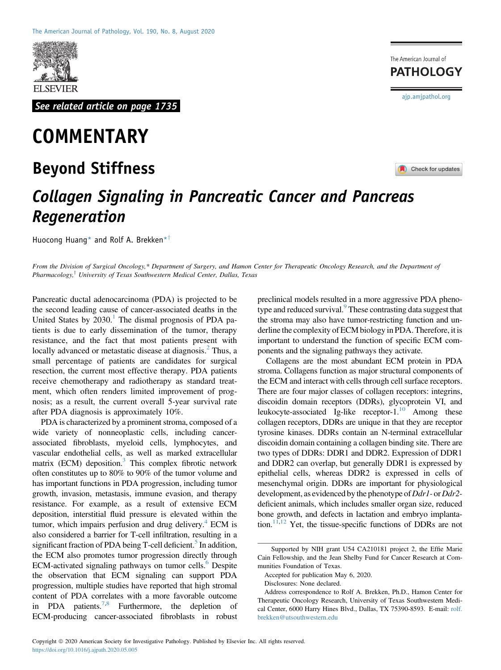

See related article on page 1735

## **COMMENTARY**

## Beyond Stiffness

The American Journal of **PATHOLOGY** [ajp.amjpathol.org](http://ajp.amjpathol.org)

**Check for updates** 

## Collagen Signaling in Pancreatic Cancer and Pancreas Regeneration

Huocong Huang\* and Rolf A. Brekken\*<sup>†</sup>

From the Division of Surgical Oncology,\* Department of Surgery, and Hamon Center for Therapeutic Oncology Research, and the Department of Pharmacology,<sup>†</sup> University of Texas Southwestern Medical Center, Dallas, Texas

Pancreatic ductal adenocarcinoma (PDA) is projected to be the second leading cause of cancer-associated deaths in the United States by  $2030<sup>1</sup>$  $2030<sup>1</sup>$  $2030<sup>1</sup>$ . The dismal prognosis of PDA patients is due to early dissemination of the tumor, therapy resistance, and the fact that most patients present with locally advanced or metastatic disease at diagnosis.<sup>[2](#page-2-1)</sup> Thus, a small percentage of patients are candidates for surgical resection, the current most effective therapy. PDA patients receive chemotherapy and radiotherapy as standard treatment, which often renders limited improvement of prognosis; as a result, the current overall 5-year survival rate after PDA diagnosis is approximately 10%.

PDA is characterized by a prominent stroma, composed of a wide variety of nonneoplastic cells, including cancerassociated fibroblasts, myeloid cells, lymphocytes, and vascular endothelial cells, as well as marked extracellular matrix (ECM) deposition. $3$  This complex fibrotic network often constitutes up to 80% to 90% of the tumor volume and has important functions in PDA progression, including tumor growth, invasion, metastasis, immune evasion, and therapy resistance. For example, as a result of extensive ECM deposition, interstitial fluid pressure is elevated within the tumor, which impairs perfusion and drug delivery. $4$  ECM is also considered a barrier for T-cell infiltration, resulting in a significant fraction of PDA being T-cell deficient.<sup>5</sup> In addition, the ECM also promotes tumor progression directly through ECM-activated signaling pathways on tumor cells.<sup>6</sup> Despite the observation that ECM signaling can support PDA progression, multiple studies have reported that high stromal content of PDA correlates with a more favorable outcome in PDA patients.<sup>[7](#page-2-6)[,8](#page-2-7)</sup> Furthermore, the depletion of ECM-producing cancer-associated fibroblasts in robust

preclinical models resulted in a more aggressive PDA phenotype and reduced survival.<sup>9</sup> These contrasting data suggest that the stroma may also have tumor-restricting function and underline the complexity of ECM biology in PDA. Therefore, it is important to understand the function of specific ECM components and the signaling pathways they activate.

Collagens are the most abundant ECM protein in PDA stroma. Collagens function as major structural components of the ECM and interact with cells through cell surface receptors. There are four major classes of collagen receptors: integrins, discoidin domain receptors (DDRs), glycoprotein VI, and leukocyte-associated Ig-like receptor-1. $^{10}$  Among these collagen receptors, DDRs are unique in that they are receptor tyrosine kinases. DDRs contain an N-terminal extracellular discoidin domain containing a collagen binding site. There are two types of DDRs: DDR1 and DDR2. Expression of DDR1 and DDR2 can overlap, but generally DDR1 is expressed by epithelial cells, whereas DDR2 is expressed in cells of mesenchymal origin. DDRs are important for physiological development, as evidenced by the phenotype of  $Ddr1$ - or  $Ddr2$ deficient animals, which includes smaller organ size, reduced bone growth, and defects in lactation and embryo implanta-tion.<sup>11,[12](#page-2-11)</sup> Yet, the tissue-specific functions of DDRs are not

Supported by NIH grant U54 CA210181 project 2, the Effie Marie Cain Fellowship, and the Jean Shelby Fund for Cancer Research at Communities Foundation of Texas.

Accepted for publication May 6, 2020.

Disclosures: None declared.

Address correspondence to Rolf A. Brekken, Ph.D., Hamon Center for Therapeutic Oncology Research, University of Texas Southwestern Medical Center, 6000 Harry Hines Blvd., Dallas, TX 75390-8593. E-mail: [rolf.](mailto:rolf.brekken@utsouthwestern.edu) [brekken@utsouthwestern.edu](mailto:rolf.brekken@utsouthwestern.edu)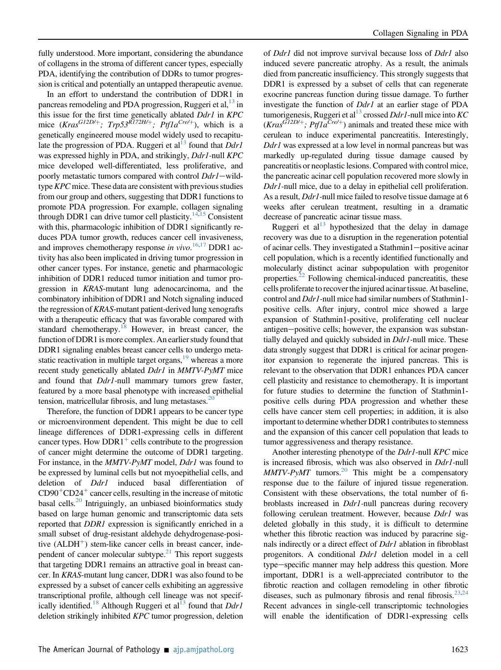fully understood. More important, considering the abundance of collagens in the stroma of different cancer types, especially PDA, identifying the contribution of DDRs to tumor progression is critical and potentially an untapped therapeutic avenue.

In an effort to understand the contribution of DDR1 in pancreas remodeling and PDA progression, Ruggeri et al, <sup>[13](#page-2-12)</sup> in this issue for the first time genetically ablated Ddr1 in KPC mice  $(Kras^{GI2D/+}; Trp53^{RIZ2H/+}; Ptf1a^{Cre/+})$ , which is a genetically engineered mouse model widely used to recapitulate the progression of PDA. Ruggeri et al<sup>13</sup> found that  $DdrI$ was expressed highly in PDA, and strikingly, Ddr1-null KPC mice developed well-differentiated, less proliferative, and poorly metastatic tumors compared with control Ddr1-wildtype  $KPC$  mice. These data are consistent with previous studies from our group and others, suggesting that DDR1 functions to promote PDA progression. For example, collagen signaling through DDR1 can drive tumor cell plasticity.<sup>14[,15](#page-2-14)</sup> Consistent with this, pharmacologic inhibition of DDR1 significantly reduces PDA tumor growth, reduces cancer cell invasiveness, and improves chemotherapy response in vivo.<sup>[16](#page-2-15)[,17](#page-2-16)</sup> DDR1 activity has also been implicated in driving tumor progression in other cancer types. For instance, genetic and pharmacologic inhibition of DDR1 reduced tumor initiation and tumor progression in KRAS-mutant lung adenocarcinoma, and the combinatory inhibition of DDR1 and Notch signaling induced the regression of KRAS-mutant patient-derived lung xenografts with a therapeutic efficacy that was favorable compared with standard chemotherapy.<sup>[18](#page-2-17)</sup> However, in breast cancer, the function of DDR1 is more complex. An earlier study found that DDR1 signaling enables breast cancer cells to undergo metastatic reactivation in multiple target organs,<sup>19</sup> whereas a more recent study genetically ablated Ddr1 in MMTV-PyMT mice and found that *Ddr1*-null mammary tumors grew faster, featured by a more basal phenotype with increased epithelial tension, matricellular fibrosis, and lung metastases.<sup>20</sup>

Therefore, the function of DDR1 appears to be cancer type or microenvironment dependent. This might be due to cell lineage differences of DDR1-expressing cells in different cancer types. How DDR1<sup>+</sup> cells contribute to the progression of cancer might determine the outcome of DDR1 targeting. For instance, in the *MMTV-PyMT* model, *Ddr1* was found to be expressed by luminal cells but not myoepithelial cells, and deletion of *Ddr1* induced basal differentiation of  $CD90<sup>+</sup>CD24<sup>+</sup>$  cancer cells, resulting in the increase of mitotic basal cells.<sup>20</sup> Intriguingly, an unbiased bioinformatics study based on large human genomic and transcriptomic data sets reported that *DDR1* expression is significantly enriched in a small subset of drug-resistant aldehyde dehydrogenase-positive  $(ALDH<sup>+</sup>)$  stem-like cancer cells in breast cancer, independent of cancer molecular subtype. $^{21}$  This report suggests that targeting DDR1 remains an attractive goal in breast cancer. In KRAS-mutant lung cancer, DDR1 was also found to be expressed by a subset of cancer cells exhibiting an aggressive transcriptional profile, although cell lineage was not specif-ically identified.<sup>18</sup> Although Ruggeri et al<sup>[13](#page-2-12)</sup> found that  $DdrI$ deletion strikingly inhibited KPC tumor progression, deletion

of *Ddr1* did not improve survival because loss of *Ddr1* also induced severe pancreatic atrophy. As a result, the animals died from pancreatic insufficiency. This strongly suggests that DDR1 is expressed by a subset of cells that can regenerate exocrine pancreas function during tissue damage. To further investigate the function of Ddr1 at an earlier stage of PDA tumorigenesis, Ruggeri et al<sup>13</sup> crossed *Ddr1*-null mice into KC  $(Kras^{GI2D/+}; Ptf1a^{Cret+})$  animals and treated these mice with cerulean to induce experimental pancreatitis. Interestingly, Ddr1 was expressed at a low level in normal pancreas but was markedly up-regulated during tissue damage caused by pancreatitis or neoplastic lesions. Compared with control mice, the pancreatic acinar cell population recovered more slowly in Ddr1-null mice, due to a delay in epithelial cell proliferation. As a result, *Ddr1*-null mice failed to resolve tissue damage at 6 weeks after cerulean treatment, resulting in a dramatic decrease of pancreatic acinar tissue mass.

Ruggeri et al<sup>13</sup> hypothesized that the delay in damage recovery was due to a disruption in the regeneration potential of acinar cells. They investigated a Stathmin1-positive acinar cell population, which is a recently identified functionally and molecularly distinct acinar subpopulation with progenitor properties. $^{22}$  $^{22}$  $^{22}$  Following chemical-induced pancreatitis, these cells proliferate to recover the injured acinar tissue. At baseline, control and Ddr1-null mice had similar numbers of Stathmin1 positive cells. After injury, control mice showed a large expansion of Stathmin1-positive, proliferating cell nuclear antigen-positive cells; however, the expansion was substantially delayed and quickly subsided in *Ddr1*-null mice. These data strongly suggest that DDR1 is critical for acinar progenitor expansion to regenerate the injured pancreas. This is relevant to the observation that DDR1 enhances PDA cancer cell plasticity and resistance to chemotherapy. It is important for future studies to determine the function of Stathmin1 positive cells during PDA progression and whether these cells have cancer stem cell properties; in addition, it is also important to determine whether DDR1 contributes to stemness and the expansion of this cancer cell population that leads to tumor aggressiveness and therapy resistance.

Another interesting phenotype of the Ddr1-null KPC mice is increased fibrosis, which was also observed in Ddr1-null  $MMTV-PyMT$  tumors.<sup>20</sup> This might be a compensatory response due to the failure of injured tissue regeneration. Consistent with these observations, the total number of fibroblasts increased in Ddr1-null pancreas during recovery following cerulean treatment. However, because Ddr1 was deleted globally in this study, it is difficult to determine whether this fibrotic reaction was induced by paracrine signals indirectly or a direct effect of *Ddr1* ablation in fibroblast progenitors. A conditional *Ddr1* deletion model in a cell type—specific manner may help address this question. More important, DDR1 is a well-appreciated contributor to the fibrotic reaction and collagen remodeling in other fibrotic diseases, such as pulmonary fibrosis and renal fibrosis.<sup>23,[24](#page-2-23)</sup> Recent advances in single-cell transcriptomic technologies will enable the identification of DDR1-expressing cells